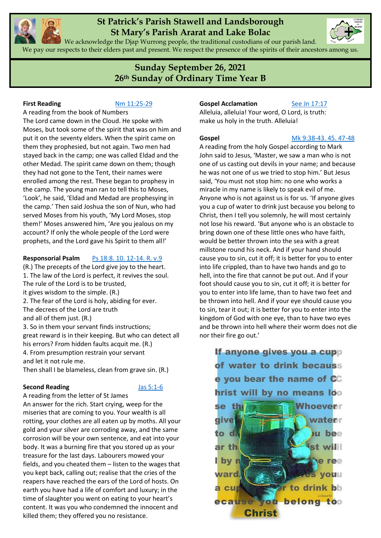

# **St Patrick's Parish Stawell and Landsborough St Mary's Parish Ararat and Lake Bolac**

We acknowledge the Djap Wurrong people, the traditional custodians of our parish land. We pay our respects to their elders past and present. We respect the presence of the spirits of their ancestors among us.

# **Sunday September 26, 2021 26th Sunday of Ordinary Time Year B**

# **First Reading** [Nm 11:25-29](https://www.liturgyhelp.com/ritual/lectionary/LectionaryList%7Cnum#num011)

A reading from the book of Numbers The Lord came down in the Cloud. He spoke with Moses, but took some of the spirit that was on him and put it on the seventy elders. When the spirit came on them they prophesied, but not again. Two men had stayed back in the camp; one was called Eldad and the other Medad. The spirit came down on them; though they had not gone to the Tent, their names were enrolled among the rest. These began to prophesy in the camp. The young man ran to tell this to Moses, 'Look', he said, 'Eldad and Medad are prophesying in the camp.' Then said Joshua the son of Nun, who had served Moses from his youth, 'My Lord Moses, stop them!' Moses answered him, 'Are you jealous on my account? If only the whole people of the Lord were prophets, and the Lord gave his Spirit to them all!'

# **Responsorial Psalm** [Ps 18:8. 10. 12-14. R. v.9](https://www.liturgyhelp.com/ritual/lectionary/LectionaryListPsalm%7Cpsm)

(R.) The precepts of the Lord give joy to the heart. 1. The law of the Lord is perfect, it revives the soul. The rule of the Lord is to be trusted, it gives wisdom to the simple. (R.) 2. The fear of the Lord is holy, abiding for ever. The decrees of the Lord are truth and all of them just. (R.) 3. So in them your servant finds instructions; great reward is in their keeping. But who can detect all his errors? From hidden faults acquit me. (R.) 4. From presumption restrain your servant and let it not rule me.

Then shall I be blameless, clean from grave sin. (R.)

#### **Second Reading** [Jas 5:1-6](https://www.liturgyhelp.com/ritual/lectionary/LectionaryList%7Cjam#jam005)

A reading from the letter of St James An answer for the rich. Start crying, weep for the miseries that are coming to you. Your wealth is all rotting, your clothes are all eaten up by moths. All your gold and your silver are corroding away, and the same corrosion will be your own sentence, and eat into your body. It was a burning fire that you stored up as your treasure for the last days. Labourers mowed your fields, and you cheated them – listen to the wages that you kept back, calling out; realise that the cries of the reapers have reached the ears of the Lord of hosts. On earth you have had a life of comfort and luxury; in the time of slaughter you went on eating to your heart's content. It was you who condemned the innocent and killed them; they offered you no resistance.

# **Gospel Acclamation** [See Jn 17:17](https://www.liturgyhelp.com/ritual/lectionary/LectionaryListGosAc%7Cjhn#jhn017)

Alleluia, alleluia! Your word, O Lord, is truth: make us holy in the truth. Alleluia!

**Gospel** [Mk 9:38-43. 45. 47-48](https://www.liturgyhelp.com/ritual/lectionary/LectionaryList%7Cmrk#mrk009)

A reading from the holy Gospel according to Mark John said to Jesus, 'Master, we saw a man who is not one of us casting out devils in your name; and because he was not one of us we tried to stop him.' But Jesus said, 'You must not stop him: no one who works a miracle in my name is likely to speak evil of me. Anyone who is not against us is for us. 'If anyone gives you a cup of water to drink just because you belong to Christ, then I tell you solemnly, he will most certainly not lose his reward. 'But anyone who is an obstacle to bring down one of these little ones who have faith, would be better thrown into the sea with a great millstone round his neck. And if your hand should cause you to sin, cut it off; it is better for you to enter into life crippled, than to have two hands and go to hell, into the fire that cannot be put out. And if your foot should cause you to sin, cut it off; it is better for you to enter into life lame, than to have two feet and be thrown into hell. And if your eye should cause you to sin, tear it out; it is better for you to enter into the kingdom of God with one eye, than to have two eyes and be thrown into hell where their worm does not die nor their fire go out.'

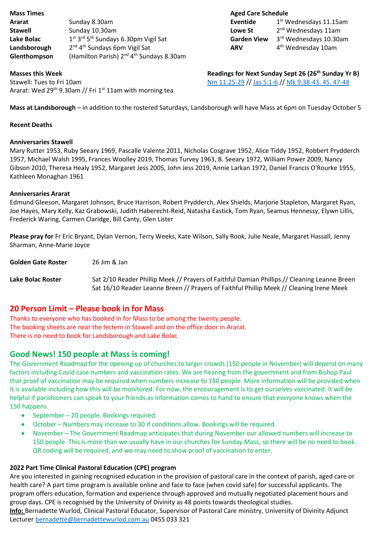| <b>Mass Times</b> |                                                                          | <b>Aged Care Sched</b> |    |
|-------------------|--------------------------------------------------------------------------|------------------------|----|
| Ararat            | Sunday 8.30am                                                            | Eventide               | -1 |
| <b>Stawell</b>    | Sunday 10.30am                                                           | Lowe St                | 2  |
| Lake Bolac        | 1 <sup>st</sup> 3 <sup>rd</sup> 5 <sup>th</sup> Sundays 6.30pm Vigil Sat | <b>Garden View</b>     | -3 |
| Landsborough      | 2 <sup>nd</sup> 4 <sup>th</sup> Sundays 6pm Vigil Sat                    | <b>ARV</b>             | 4  |
| Glenthompson      | (Hamilton Parish) 2 <sup>nd</sup> 4 <sup>th</sup> Sundays 8.30am         |                        |    |

# **Aged Care Schedule**

| Eventide           | 1 <sup>st</sup> Wednesdays 11.15am |  |
|--------------------|------------------------------------|--|
| Lowe St            | 2 <sup>nd</sup> Wednesdays 11am    |  |
| <b>Garden View</b> | 3rd Wednesdays 10.30am             |  |
| ARV                | 4 <sup>th</sup> Wednesday 10am     |  |

Stawell: Tues to Fri 10am [Nm 11:25-29](https://www.liturgyhelp.com/ritual/lectionary/LectionaryList%7Cnum#num011) /[/ Jas 5:1-6](https://www.liturgyhelp.com/ritual/lectionary/LectionaryList%7Cjam#jam005) /[/ Mk 9:38-43. 45. 47-48](https://www.liturgyhelp.com/ritual/lectionary/LectionaryList%7Cmrk#mrk009) Ararat: Wed 29<sup>th</sup> 9.30am // Fri 1<sup>st</sup> 11am with morning tea

**Masses this Week Readings for Next Sunday Sept 26 (26<sup>th</sup> Sunday Yr B)** 

**Mass at Landsborough** – in addition to the rostered Saturdays, Landsborough will have Mass at 6pm on Tuesday October 5

# **Recent Deaths**

# **Anniversaries Stawell**

Mary Rutter 1953, Ruby Seeary 1969, Pascalle Valente 2011, Nicholas Cosgrave 1952, Alice Tiddy 1952, Robbert Prydderch 1957, Michael Walsh 1995, Frances Woolley 2019, Thomas Turvey 1963, B. Seeary 1972, William Power 2009, Nancy Gibson 2010, Theresa Healy 1952, Margaret Jess 2005, John Jess 2019, Annie Larkan 1972, Daniel Francis O'Rourke 1955, Kathleen Monaghan 1961

# **Anniversaries Ararat**

Edmund Gleeson, Margaret Johnson, Bruce Harrison, Robert Prydderch, Alex Shields, Marjorie Stapleton, Margaret Ryan, Joe Hayes, Mary Kelly, Kaz Grabowski, Judith Haberecht-Reid, Natasha Eastick, Tom Ryan, Seamus Hennessy, Elywn Lillis, Frederick Waring, Carmen Claridge, Bill Canty, Glen Lister

**Please pray for** Fr Eric Bryant, Dylan Vernon, Terry Weeks, Kate Wilson, Sally Rook, Julie Neale, Margaret Hassall, Jenny Sharman, Anne-Marie Joyce

**Golden Gate Roster** 26 Jim & Jan

**Lake Bolac Roster** Sat 2/10 Reader Phillip Meek // Prayers of Faithful Damian Phillips // Cleaning Leanne Breen Sat 16/10 Reader Leanne Breen // Prayers of Faithful Phillip Meek // Cleaning Irene Meek

# **20 Person Limit – Please book in for Mass**

Thanks to everyone who has booked in for Mass to be among the twenty people. The booking sheets are near the lectern in Stawell and on the office door in Ararat. There is no need to book for Landsborough and Lake Bolac

# **Good News! 150 people at Mass is coming!**

The Government Roadmap for the opening up of churches to larger crowds (150 people in November) will depend on many factors including Covid case numbers and vaccination rates. We are hearing from the government and from Bishop Paul that proof of vaccination may be required when numbers increase to 150 people. More information will be provided when it is available including how this will be monitored. For now, the encouragement is to get ourselves vaccinated. It will be helpful if parishioners can speak to your friends as information comes to hand to ensure that everyone knows when the 150 happens.

- September 20 people. Bookings required.
- October Numbers may increase to 30 if conditions allow. Bookings will be required.
- November The Government Roadmap anticipates that during November our allowed numbers will increase to 150 people. This is more than we usually have in our churches for Sunday Mass, so there will be no need to book. QR coding will be required, and we may need to show proof of vaccination to enter.

# **2022 Part Time Clinical Pastoral Education (CPE) program**

Are you interested in gaining recognised education in the provision of pastoral care in the context of parish, aged care or health care? A part time program is available online and face to face (when covid safe) for successful applicants. The program offers education, formation and experience through approved and mutually negotiated placement hours and group days. CPE is recognised by the University of Divinity as 48 points towards theological studies.

**Info:** Bernadette Wurlod, Clinical Pastoral Educator, Supervisor of Pastoral Care ministry, University of Divinity Adjunct Lecturer [bernadette@bernadettewurlod.com.au](mailto:bernadette@bernadettewurlod.com.au) 0455 033 321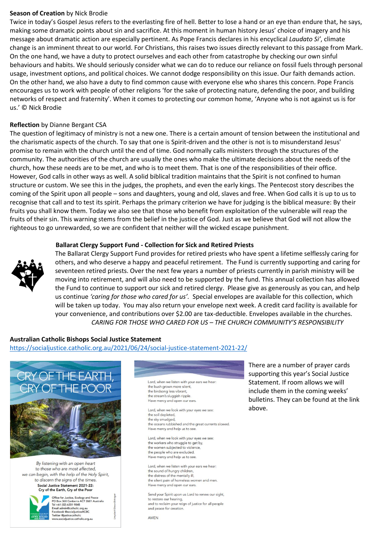### **Season of Creation** by Nick Brodie

Twice in today's Gospel Jesus refers to the everlasting fire of hell. Better to lose a hand or an eye than endure that, he says, making some dramatic points about sin and sacrifice. At this moment in human history Jesus' choice of imagery and his message about dramatic action are especially pertinent. As Pope Francis declares in his encyclical *Laudato Si'*, climate change is an imminent threat to our world. For Christians, this raises two issues directly relevant to this passage from Mark. On the one hand, we have a duty to protect ourselves and each other from catastrophe by checking our own sinful behaviours and habits. We should seriously consider what we can do to reduce our reliance on fossil fuels through personal usage, investment options, and political choices. We cannot dodge responsibility on this issue. Our faith demands action. On the other hand, we also have a duty to find common cause with everyone else who shares this concern. Pope Francis encourages us to work with people of other religions 'for the sake of protecting nature, defending the poor, and building networks of respect and fraternity'. When it comes to protecting our common home, 'Anyone who is not against us is for us.' © Nick Brodie

### **Reflection** by Dianne Bergant CSA

The question of legitimacy of ministry is not a new one. There is a certain amount of tension between the institutional and the charismatic aspects of the church. To say that one is Spirit-driven and the other is not is to misunderstand Jesus' promise to remain with the church until the end of time. God normally calls ministers through the structures of the community. The authorities of the church are usually the ones who make the ultimate decisions about the needs of the church, how these needs are to be met, and who is to meet them. That is one of the responsibilities of their office. However, God calls in other ways as well. A solid biblical tradition maintains that the Spirit is not confined to human structure or custom. We see this in the judges, the prophets, and even the early kings. The Pentecost story describes the coming of the Spirit upon all people – sons and daughters, young and old, slaves and free. When God calls it is up to us to recognise that call and to test its spirit. Perhaps the primary criterion we have for judging is the biblical measure: By their fruits you shall know them. Today we also see that those who benefit from exploitation of the vulnerable will reap the fruits of their sin. This warning stems from the belief in the justice of God. Just as we believe that God will not allow the righteous to go unrewarded, so we are confident that neither will the wicked escape punishment.

# **Ballarat Clergy Support Fund - Collection for Sick and Retired Priests**



The Ballarat Clergy Support Fund provides for retired priests who have spent a lifetime selflessly caring for others, and who deserve a happy and peaceful retirement. The Fund is currently supporting and caring for seventeen retired priests. Over the next few years a number of priests currently in parish ministry will be moving into retirement, and will also need to be supported by the fund. This annual collection has allowed the Fund to continue to support our sick and retired clergy. Please give as generously as you can, and help us continue *'caring for those who cared for us'.* Special envelopes are available for this collection, which will be taken up today. You may also return your envelope next week. A credit card facility is available for your convenience, and contributions over \$2.00 are tax-deductible. Envelopes available in the churches. *CARING FOR THOSE WHO CARED FOR US – THE CHURCH COMMUNITY'S RESPONSIBILITY*

# **Australian Catholic Bishops Social Justice Statement**

<https://socialjustice.catholic.org.au/2021/06/24/social-justice-statement-2021-22/>



By listening with an open heart to those who are most affected. we can begin, with the help of the Holy Spirit. to discern the signs of the times. Social Justice Statement 2021-22: Cry of the Earth, Cry of the Poor



Office for Justice, Ecology and Peace<br>PO Box 368 Canberra ACT 2601 Australia<br>Tel +61 (02) 6201 9845 Email admin@catholic.org.au<br>Facebook @socialjusticeACBC **Twitter @justice** w.socialjustice.catholic.org.au

Lord, when we listen with your ears we hear the bush arown more silent the birdsong less vibrant, the stream's sluggish ripple. Have mercy and open our ears

Lord, when we look with your eyes we see: the soil depleted, the sky smudged, the oceans rubbished and the great currents slowed. Have mercy and help us to see

Lord, when we look with your eves we see: the workers who struggle to get by, the women subjected to violence the people who are excluded Have mercy and help us to see

Lord, when we listen with your ears we hear the sound of hungry children,<br>the distress of the mentally ill, the silent pain of homeless women and men Have mercy and open our ears.

Send your Spirit upon us Lord to renew our sight, to restore our hearing, and to reclaim your reign of justice for all people and peace for creation.

**AMFN** 

There are a number of prayer cards supporting this year's Social Justice Statement. If room allows we will include them in the coming weeks' bulletins. They can be found at the link above.